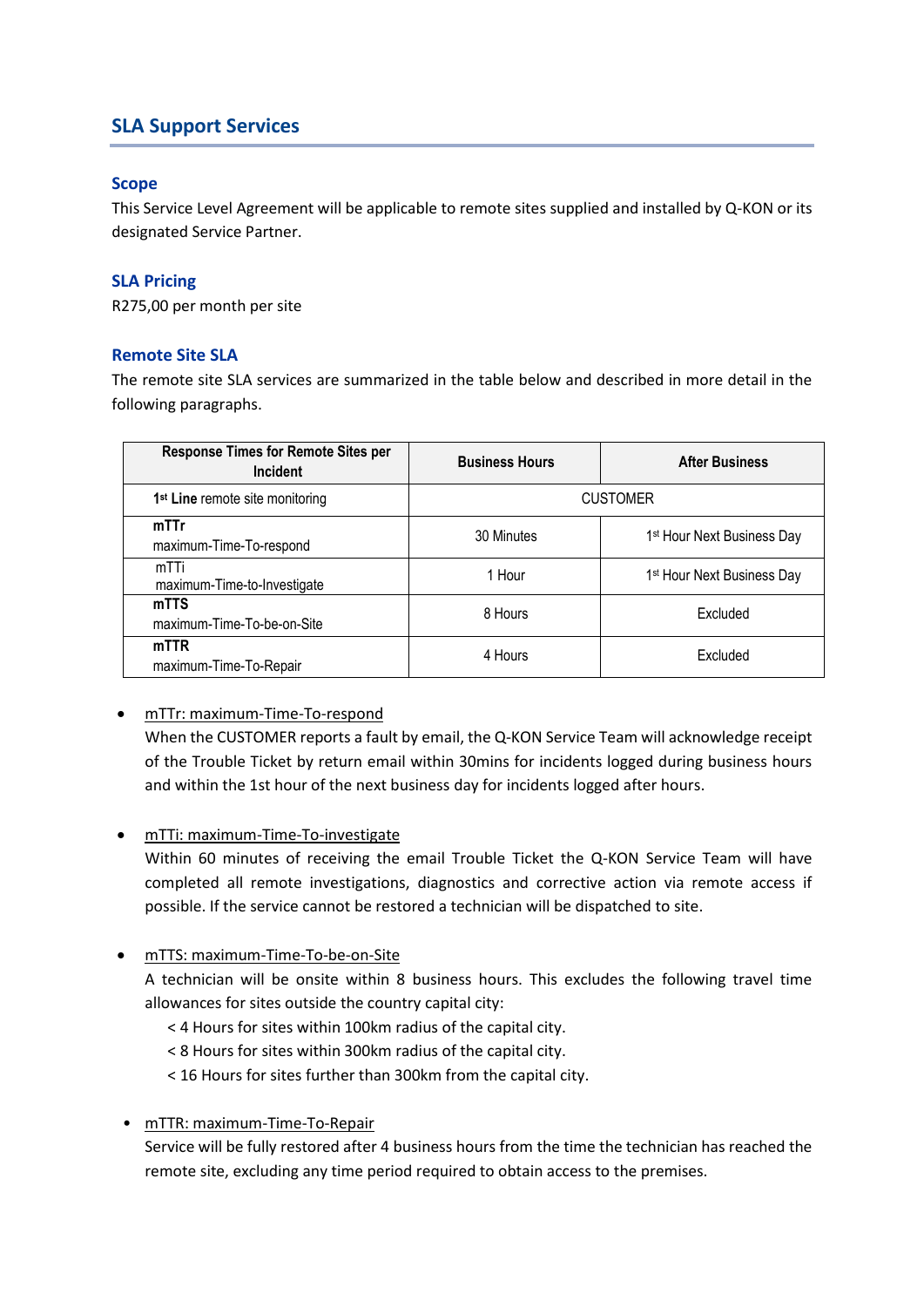# **SLA Support Services**

## **Scope**

This Service Level Agreement will be applicable to remote sites supplied and installed by Q-KON or its designated Service Partner.

### **SLA Pricing**

R275,00 per month per site

#### **Remote Site SLA**

The remote site SLA services are summarized in the table below and described in more detail in the following paragraphs.

| <b>Response Times for Remote Sites per</b><br><b>Incident</b> | <b>Business Hours</b> | <b>After Business</b>                  |
|---------------------------------------------------------------|-----------------------|----------------------------------------|
| 1 <sup>st</sup> Line remote site monitoring                   | <b>CUSTOMER</b>       |                                        |
| mTTr<br>maximum-Time-To-respond                               | 30 Minutes            | 1 <sup>st</sup> Hour Next Business Day |
| mTTi<br>maximum-Time-to-Investigate                           | 1 Hour                | 1 <sup>st</sup> Hour Next Business Day |
| mTTS<br>maximum-Time-To-be-on-Site                            | 8 Hours               | Excluded                               |
| mTTR<br>maximum-Time-To-Repair                                | 4 Hours               | Excluded                               |

• mTTr: maximum-Time-To-respond

When the CUSTOMER reports a fault by email, the Q-KON Service Team will acknowledge receipt of the Trouble Ticket by return email within 30mins for incidents logged during business hours and within the 1st hour of the next business day for incidents logged after hours.

• mTTi: maximum-Time-To-investigate

Within 60 minutes of receiving the email Trouble Ticket the Q-KON Service Team will have completed all remote investigations, diagnostics and corrective action via remote access if possible. If the service cannot be restored a technician will be dispatched to site.

• mTTS: maximum-Time-To-be-on-Site

A technician will be onsite within 8 business hours. This excludes the following travel time allowances for sites outside the country capital city:

- < 4 Hours for sites within 100km radius of the capital city.
- < 8 Hours for sites within 300km radius of the capital city.

< 16 Hours for sites further than 300km from the capital city.

• mTTR: maximum-Time-To-Repair

Service will be fully restored after 4 business hours from the time the technician has reached the remote site, excluding any time period required to obtain access to the premises.